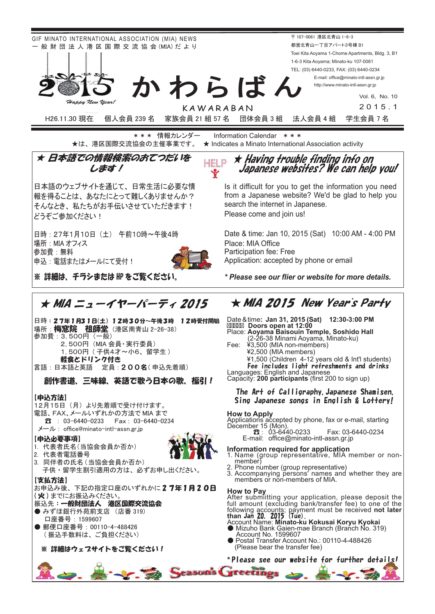